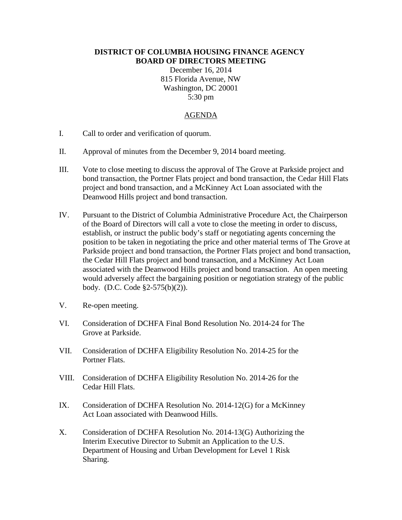## **DISTRICT OF COLUMBIA HOUSING FINANCE AGENCY BOARD OF DIRECTORS MEETING**

December 16, 2014 815 Florida Avenue, NW Washington, DC 20001 5:30 pm

## AGENDA

- I. Call to order and verification of quorum.
- II. Approval of minutes from the December 9, 2014 board meeting.
- III. Vote to close meeting to discuss the approval of The Grove at Parkside project and bond transaction, the Portner Flats project and bond transaction, the Cedar Hill Flats project and bond transaction, and a McKinney Act Loan associated with the Deanwood Hills project and bond transaction.
- IV. Pursuant to the District of Columbia Administrative Procedure Act, the Chairperson of the Board of Directors will call a vote to close the meeting in order to discuss, establish, or instruct the public body's staff or negotiating agents concerning the position to be taken in negotiating the price and other material terms of The Grove at Parkside project and bond transaction, the Portner Flats project and bond transaction, the Cedar Hill Flats project and bond transaction, and a McKinney Act Loan associated with the Deanwood Hills project and bond transaction. An open meeting would adversely affect the bargaining position or negotiation strategy of the public body. (D.C. Code §2-575(b)(2)).
- V. Re-open meeting.
- VI. Consideration of DCHFA Final Bond Resolution No. 2014-24 for The Grove at Parkside.
- VII. Consideration of DCHFA Eligibility Resolution No. 2014-25 for the Portner Flats.
- VIII. Consideration of DCHFA Eligibility Resolution No. 2014-26 for the Cedar Hill Flats.
- IX. Consideration of DCHFA Resolution No. 2014-12(G) for a McKinney Act Loan associated with Deanwood Hills.
- X. Consideration of DCHFA Resolution No. 2014-13(G) Authorizing the Interim Executive Director to Submit an Application to the U.S. Department of Housing and Urban Development for Level 1 Risk Sharing.